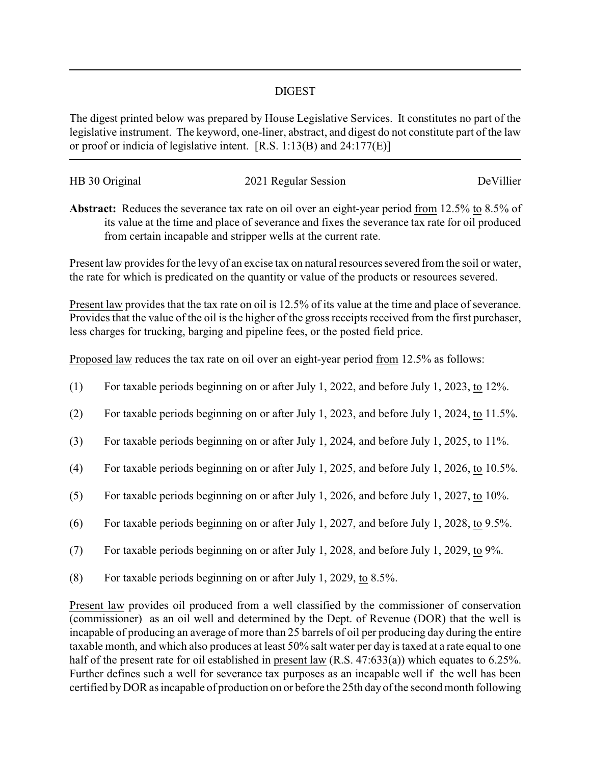## DIGEST

The digest printed below was prepared by House Legislative Services. It constitutes no part of the legislative instrument. The keyword, one-liner, abstract, and digest do not constitute part of the law or proof or indicia of legislative intent. [R.S. 1:13(B) and 24:177(E)]

| HB 30 Original | 2021 Regular Session | DeVillier |
|----------------|----------------------|-----------|
|                |                      |           |

**Abstract:** Reduces the severance tax rate on oil over an eight-year period from 12.5% to 8.5% of its value at the time and place of severance and fixes the severance tax rate for oil produced from certain incapable and stripper wells at the current rate.

Present law provides for the levy of an excise tax on natural resources severed from the soil or water, the rate for which is predicated on the quantity or value of the products or resources severed.

Present law provides that the tax rate on oil is 12.5% of its value at the time and place of severance. Provides that the value of the oil is the higher of the gross receipts received from the first purchaser, less charges for trucking, barging and pipeline fees, or the posted field price.

Proposed law reduces the tax rate on oil over an eight-year period from 12.5% as follows:

- (1) For taxable periods beginning on or after July 1, 2022, and before July 1, 2023, to 12%.
- (2) For taxable periods beginning on or after July 1, 2023, and before July 1, 2024, to 11.5%.
- (3) For taxable periods beginning on or after July 1, 2024, and before July 1, 2025, to 11%.
- (4) For taxable periods beginning on or after July 1, 2025, and before July 1, 2026, to 10.5%.
- (5) For taxable periods beginning on or after July 1, 2026, and before July 1, 2027, to 10%.
- (6) For taxable periods beginning on or after July 1, 2027, and before July 1, 2028, to 9.5%.
- (7) For taxable periods beginning on or after July 1, 2028, and before July 1, 2029, to 9%.
- (8) For taxable periods beginning on or after July 1, 2029, to 8.5%.

Present law provides oil produced from a well classified by the commissioner of conservation (commissioner) as an oil well and determined by the Dept. of Revenue (DOR) that the well is incapable of producing an average of more than 25 barrels of oil per producing day during the entire taxable month, and which also produces at least 50% salt water per day is taxed at a rate equal to one half of the present rate for oil established in present law (R.S. 47:633(a)) which equates to 6.25%. Further defines such a well for severance tax purposes as an incapable well if the well has been certified byDOR as incapable of production on or before the 25th day of the second month following